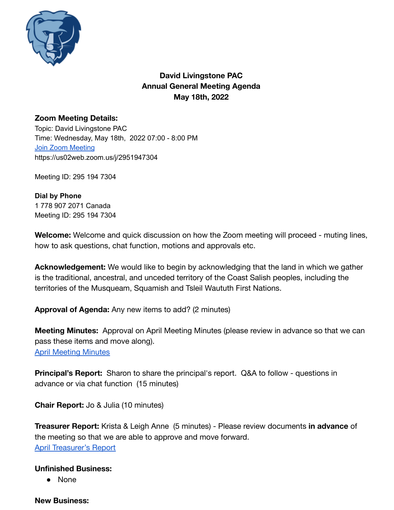

# **David Livingstone PAC Annual General Meeting Agenda May 18th, 2022**

### **Zoom Meeting Details:**

Topic: David Livingstone PAC Time: Wednesday, May 18th, 2022 07:00 - 8:00 PM Join Zoom [Meeting](https://zoom.us/join) https://us02web.zoom.us/j/2951947304

Meeting ID: 295 194 7304

#### **Dial by Phone** 1 778 907 2071 Canada Meeting ID: 295 194 7304

**Welcome:** Welcome and quick discussion on how the Zoom meeting will proceed - muting lines, how to ask questions, chat function, motions and approvals etc.

**Acknowledgement:** We would like to begin by acknowledging that the land in which we gather is the traditional, ancestral, and unceded territory of the Coast Salish peoples, including the territories of the Musqueam, Squamish and Tsleil Waututh First Nations.

**Approval of Agenda:** Any new items to add? (2 minutes)

**Meeting Minutes:** Approval on April Meeting Minutes (please review in advance so that we can pass these items and move along). [April Meeting Minutes](https://docs.google.com/document/d/1rIb6pYGemC9tIpq_kPz0_igmlaFQNYwF3nwyCg6TU8s/edit?usp=sharing)

**Principal's Report:** Sharon to share the principal's report. Q&A to follow - questions in advance or via chat function (15 minutes)

**Chair Report:** Jo & Julia (10 minutes)

**Treasurer Report:** Krista & Leigh Anne (5 minutes) - Please review documents **in advance** of the meeting so that we are able to approve and move forward. [April Treasurer's Report](https://docs.google.com/document/d/1jPoZay4Pi2wINNlMYcWX2abbkv9GqKhzUohrAwXnzVs/edit)

#### **Unfinished Business:**

● None

#### **New Business:**